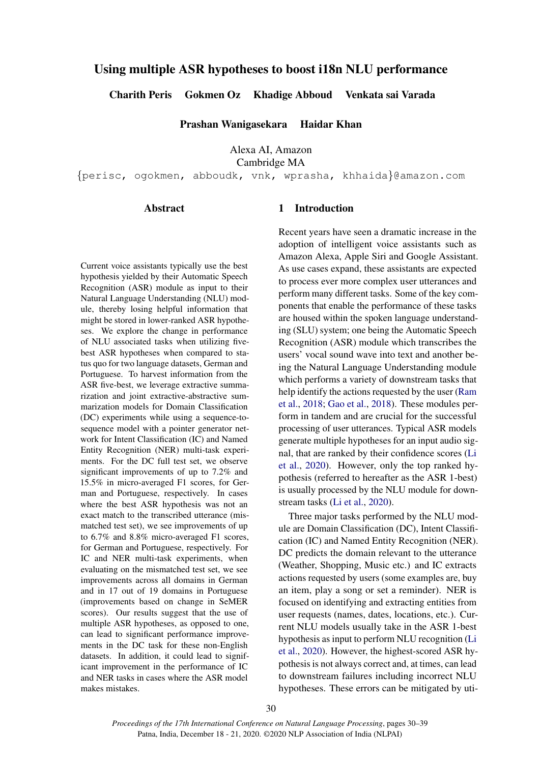# Using multiple ASR hypotheses to boost i18n NLU performance

Charith Peris Gokmen Oz Khadige Abboud Venkata sai Varada

Prashan Wanigasekara Haidar Khan

Alexa AI, Amazon

Cambridge MA

{perisc, ogokmen, abboudk, vnk, wprasha, khhaida}@amazon.com

## Abstract

Current voice assistants typically use the best hypothesis yielded by their Automatic Speech Recognition (ASR) module as input to their Natural Language Understanding (NLU) module, thereby losing helpful information that might be stored in lower-ranked ASR hypotheses. We explore the change in performance of NLU associated tasks when utilizing fivebest ASR hypotheses when compared to status quo for two language datasets, German and Portuguese. To harvest information from the ASR five-best, we leverage extractive summarization and joint extractive-abstractive summarization models for Domain Classification (DC) experiments while using a sequence-tosequence model with a pointer generator network for Intent Classification (IC) and Named Entity Recognition (NER) multi-task experiments. For the DC full test set, we observe significant improvements of up to 7.2% and 15.5% in micro-averaged F1 scores, for German and Portuguese, respectively. In cases where the best ASR hypothesis was not an exact match to the transcribed utterance (mismatched test set), we see improvements of up to 6.7% and 8.8% micro-averaged F1 scores, for German and Portuguese, respectively. For IC and NER multi-task experiments, when evaluating on the mismatched test set, we see improvements across all domains in German and in 17 out of 19 domains in Portuguese (improvements based on change in SeMER scores). Our results suggest that the use of multiple ASR hypotheses, as opposed to one, can lead to significant performance improvements in the DC task for these non-English datasets. In addition, it could lead to significant improvement in the performance of IC and NER tasks in cases where the ASR model makes mistakes.

## 1 Introduction

Recent years have seen a dramatic increase in the adoption of intelligent voice assistants such as Amazon Alexa, Apple Siri and Google Assistant. As use cases expand, these assistants are expected to process ever more complex user utterances and perform many different tasks. Some of the key components that enable the performance of these tasks are housed within the spoken language understanding (SLU) system; one being the Automatic Speech Recognition (ASR) module which transcribes the users' vocal sound wave into text and another being the Natural Language Understanding module which performs a variety of downstream tasks that help identify the actions requested by the user [\(Ram](#page-8-0) [et al.,](#page-8-0) [2018;](#page-8-0) [Gao et al.,](#page-8-1) [2018\)](#page-8-1). These modules perform in tandem and are crucial for the successful processing of user utterances. Typical ASR models generate multiple hypotheses for an input audio signal, that are ranked by their confidence scores [\(Li](#page-8-2) [et al.,](#page-8-2) [2020\)](#page-8-2). However, only the top ranked hypothesis (referred to hereafter as the ASR 1-best) is usually processed by the NLU module for downstream tasks [\(Li et al.,](#page-8-2) [2020\)](#page-8-2).

Three major tasks performed by the NLU module are Domain Classification (DC), Intent Classification (IC) and Named Entity Recognition (NER). DC predicts the domain relevant to the utterance (Weather, Shopping, Music etc.) and IC extracts actions requested by users (some examples are, buy an item, play a song or set a reminder). NER is focused on identifying and extracting entities from user requests (names, dates, locations, etc.). Current NLU models usually take in the ASR 1-best hypothesis as input to perform NLU recognition [\(Li](#page-8-2) [et al.,](#page-8-2) [2020\)](#page-8-2). However, the highest-scored ASR hypothesis is not always correct and, at times, can lead to downstream failures including incorrect NLU hypotheses. These errors can be mitigated by uti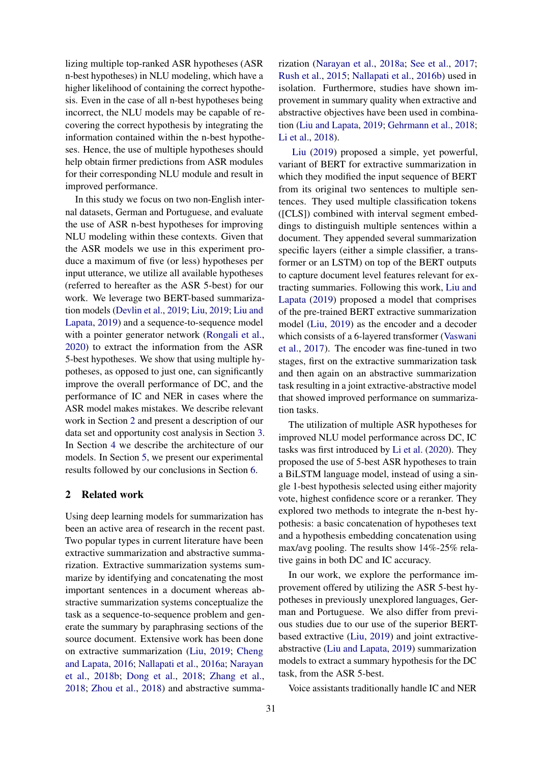lizing multiple top-ranked ASR hypotheses (ASR n-best hypotheses) in NLU modeling, which have a higher likelihood of containing the correct hypothesis. Even in the case of all n-best hypotheses being incorrect, the NLU models may be capable of recovering the correct hypothesis by integrating the information contained within the n-best hypotheses. Hence, the use of multiple hypotheses should help obtain firmer predictions from ASR modules for their corresponding NLU module and result in improved performance.

In this study we focus on two non-English internal datasets, German and Portuguese, and evaluate the use of ASR n-best hypotheses for improving NLU modeling within these contexts. Given that the ASR models we use in this experiment produce a maximum of five (or less) hypotheses per input utterance, we utilize all available hypotheses (referred to hereafter as the ASR 5-best) for our work. We leverage two BERT-based summarization models [\(Devlin et al.,](#page-7-0) [2019;](#page-7-0) [Liu,](#page-8-3) [2019;](#page-8-3) [Liu and](#page-8-4) [Lapata,](#page-8-4) [2019\)](#page-8-4) and a sequence-to-sequence model with a pointer generator network [\(Rongali et al.,](#page-8-5) [2020\)](#page-8-5) to extract the information from the ASR 5-best hypotheses. We show that using multiple hypotheses, as opposed to just one, can significantly improve the overall performance of DC, and the performance of IC and NER in cases where the ASR model makes mistakes. We describe relevant work in Section [2](#page-1-0) and present a description of our data set and opportunity cost analysis in Section [3.](#page-2-0) In Section [4](#page-2-1) we describe the architecture of our models. In Section [5,](#page-4-0) we present our experimental results followed by our conclusions in Section [6.](#page-7-1)

## <span id="page-1-0"></span>2 Related work

Using deep learning models for summarization has been an active area of research in the recent past. Two popular types in current literature have been extractive summarization and abstractive summarization. Extractive summarization systems summarize by identifying and concatenating the most important sentences in a document whereas abstractive summarization systems conceptualize the task as a sequence-to-sequence problem and generate the summary by paraphrasing sections of the source document. Extensive work has been done on extractive summarization [\(Liu,](#page-8-3) [2019;](#page-8-3) [Cheng](#page-7-2) [and Lapata,](#page-7-2) [2016;](#page-7-2) [Nallapati et al.,](#page-8-6) [2016a;](#page-8-6) [Narayan](#page-8-7) [et al.,](#page-8-7) [2018b;](#page-8-7) [Dong et al.,](#page-8-8) [2018;](#page-8-8) [Zhang et al.,](#page-9-0) [2018;](#page-9-0) [Zhou et al.,](#page-9-1) [2018\)](#page-9-1) and abstractive summarization [\(Narayan et al.,](#page-8-9) [2018a;](#page-8-9) [See et al.,](#page-8-10) [2017;](#page-8-10) [Rush et al.,](#page-8-11) [2015;](#page-8-11) [Nallapati et al.,](#page-8-12) [2016b\)](#page-8-12) used in isolation. Furthermore, studies have shown improvement in summary quality when extractive and abstractive objectives have been used in combination [\(Liu and Lapata,](#page-8-4) [2019;](#page-8-4) [Gehrmann et al.,](#page-8-13) [2018;](#page-8-13) [Li et al.,](#page-8-14) [2018\)](#page-8-14).

[Liu](#page-8-3) [\(2019\)](#page-8-3) proposed a simple, yet powerful, variant of BERT for extractive summarization in which they modified the input sequence of BERT from its original two sentences to multiple sentences. They used multiple classification tokens ([CLS]) combined with interval segment embeddings to distinguish multiple sentences within a document. They appended several summarization specific layers (either a simple classifier, a transformer or an LSTM) on top of the BERT outputs to capture document level features relevant for extracting summaries. Following this work, [Liu and](#page-8-4) [Lapata](#page-8-4) [\(2019\)](#page-8-4) proposed a model that comprises of the pre-trained BERT extractive summarization model [\(Liu,](#page-8-3) [2019\)](#page-8-3) as the encoder and a decoder which consists of a 6-layered transformer [\(Vaswani](#page-9-2) [et al.,](#page-9-2) [2017\)](#page-9-2). The encoder was fine-tuned in two stages, first on the extractive summarization task and then again on an abstractive summarization task resulting in a joint extractive-abstractive model that showed improved performance on summarization tasks.

The utilization of multiple ASR hypotheses for improved NLU model performance across DC, IC tasks was first introduced by [Li et al.](#page-8-2) [\(2020\)](#page-8-2). They proposed the use of 5-best ASR hypotheses to train a BiLSTM language model, instead of using a single 1-best hypothesis selected using either majority vote, highest confidence score or a reranker. They explored two methods to integrate the n-best hypothesis: a basic concatenation of hypotheses text and a hypothesis embedding concatenation using max/avg pooling. The results show 14%-25% relative gains in both DC and IC accuracy.

In our work, we explore the performance improvement offered by utilizing the ASR 5-best hypotheses in previously unexplored languages, German and Portuguese. We also differ from previous studies due to our use of the superior BERTbased extractive [\(Liu,](#page-8-3) [2019\)](#page-8-3) and joint extractiveabstractive [\(Liu and Lapata,](#page-8-4) [2019\)](#page-8-4) summarization models to extract a summary hypothesis for the DC task, from the ASR 5-best.

Voice assistants traditionally handle IC and NER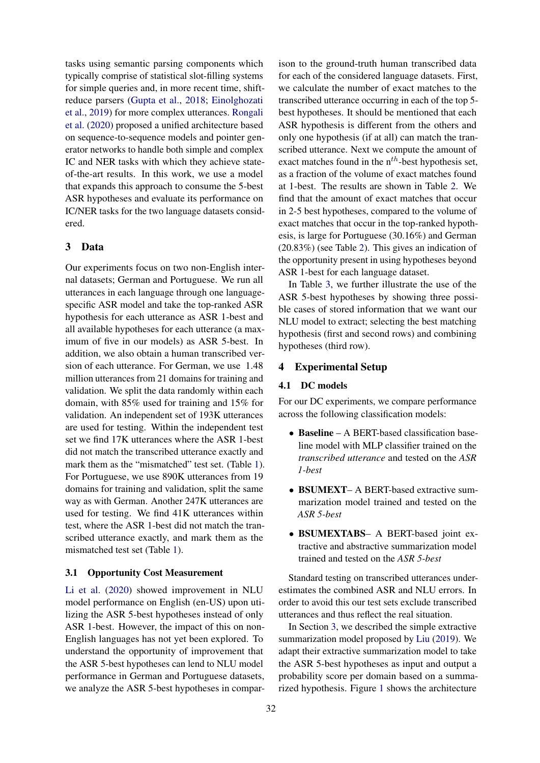tasks using semantic parsing components which typically comprise of statistical slot-filling systems for simple queries and, in more recent time, shiftreduce parsers [\(Gupta et al.,](#page-8-15) [2018;](#page-8-15) [Einolghozati](#page-8-16) [et al.,](#page-8-16) [2019\)](#page-8-16) for more complex utterances. [Rongali](#page-8-5) [et al.](#page-8-5) [\(2020\)](#page-8-5) proposed a unified architecture based on sequence-to-sequence models and pointer generator networks to handle both simple and complex IC and NER tasks with which they achieve stateof-the-art results. In this work, we use a model that expands this approach to consume the 5-best ASR hypotheses and evaluate its performance on IC/NER tasks for the two language datasets considered.

## <span id="page-2-0"></span>3 Data

Our experiments focus on two non-English internal datasets; German and Portuguese. We run all utterances in each language through one languagespecific ASR model and take the top-ranked ASR hypothesis for each utterance as ASR 1-best and all available hypotheses for each utterance (a maximum of five in our models) as ASR 5-best. In addition, we also obtain a human transcribed version of each utterance. For German, we use 1.48 million utterances from 21 domains for training and validation. We split the data randomly within each domain, with 85% used for training and 15% for validation. An independent set of 193K utterances are used for testing. Within the independent test set we find 17K utterances where the ASR 1-best did not match the transcribed utterance exactly and mark them as the "mismatched" test set. (Table [1\)](#page-3-0). For Portuguese, we use 890K utterances from 19 domains for training and validation, split the same way as with German. Another 247K utterances are used for testing. We find 41K utterances within test, where the ASR 1-best did not match the transcribed utterance exactly, and mark them as the mismatched test set (Table [1\)](#page-3-0).

## <span id="page-2-2"></span>3.1 Opportunity Cost Measurement

[Li et al.](#page-8-2) [\(2020\)](#page-8-2) showed improvement in NLU model performance on English (en-US) upon utilizing the ASR 5-best hypotheses instead of only ASR 1-best. However, the impact of this on non-English languages has not yet been explored. To understand the opportunity of improvement that the ASR 5-best hypotheses can lend to NLU model performance in German and Portuguese datasets, we analyze the ASR 5-best hypotheses in compar-

ison to the ground-truth human transcribed data for each of the considered language datasets. First, we calculate the number of exact matches to the transcribed utterance occurring in each of the top 5 best hypotheses. It should be mentioned that each ASR hypothesis is different from the others and only one hypothesis (if at all) can match the transcribed utterance. Next we compute the amount of exact matches found in the  $n^{th}$ -best hypothesis set, as a fraction of the volume of exact matches found at 1-best. The results are shown in Table [2.](#page-3-1) We find that the amount of exact matches that occur in 2-5 best hypotheses, compared to the volume of exact matches that occur in the top-ranked hypothesis, is large for Portuguese (30.16%) and German (20.83%) (see Table [2\)](#page-3-1). This gives an indication of the opportunity present in using hypotheses beyond ASR 1-best for each language dataset.

In Table [3,](#page-4-1) we further illustrate the use of the ASR 5-best hypotheses by showing three possible cases of stored information that we want our NLU model to extract; selecting the best matching hypothesis (first and second rows) and combining hypotheses (third row).

# <span id="page-2-1"></span>4 Experimental Setup

#### 4.1 DC models

For our DC experiments, we compare performance across the following classification models:

- Baseline A BERT-based classification baseline model with MLP classifier trained on the *transcribed utterance* and tested on the *ASR 1-best*
- BSUMEXT– A BERT-based extractive summarization model trained and tested on the *ASR 5-best*
- BSUMEXTABS– A BERT-based joint extractive and abstractive summarization model trained and tested on the *ASR 5-best*

Standard testing on transcribed utterances underestimates the combined ASR and NLU errors. In order to avoid this our test sets exclude transcribed utterances and thus reflect the real situation.

In Section [3,](#page-2-0) we described the simple extractive summarization model proposed by [Liu](#page-8-3) [\(2019\)](#page-8-3). We adapt their extractive summarization model to take the ASR 5-best hypotheses as input and output a probability score per domain based on a summarized hypothesis. Figure [1](#page-4-2) shows the architecture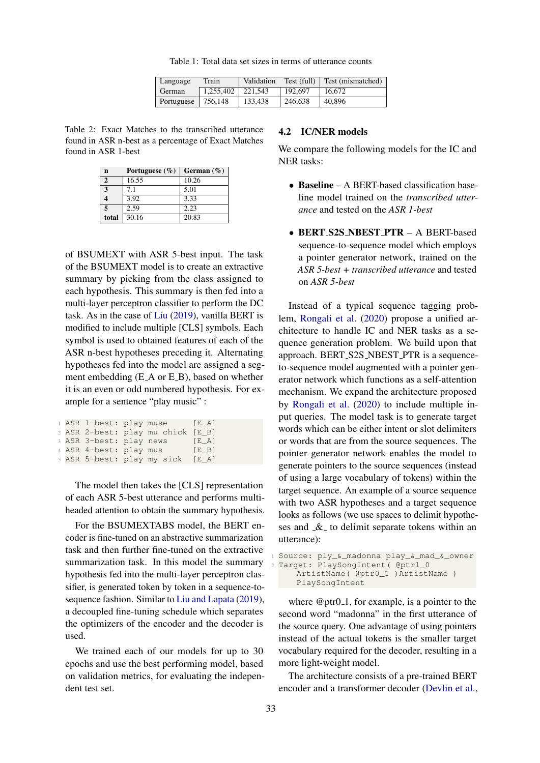Table 1: Total data set sizes in terms of utterance counts

| Language               | Train                 | Validation | Test (full) | Test (mismatched) |
|------------------------|-----------------------|------------|-------------|-------------------|
| <b>German</b>          | $1.255.402$   221.543 |            | 192,697     | 16.672            |
| Portuguese   $756,148$ |                       | 133.438    | 246,638     | 40.896            |

<span id="page-3-1"></span><span id="page-3-0"></span>Table 2: Exact Matches to the transcribed utterance found in ASR n-best as a percentage of Exact Matches found in ASR 1-best

| n                       | Portuguese $(\% )$ | German $(\% )$ |
|-------------------------|--------------------|----------------|
| $\overline{2}$          | 16.55              | 10.26          |
| 3                       | 7.1                | 5.01           |
| 4                       | 3.92               | 3.33           |
| $\overline{\mathbf{5}}$ | 2.59               | 2.23           |
| total                   | 30.16              | 20.83          |

of BSUMEXT with ASR 5-best input. The task of the BSUMEXT model is to create an extractive summary by picking from the class assigned to each hypothesis. This summary is then fed into a multi-layer perceptron classifier to perform the DC task. As in the case of [Liu](#page-8-3) [\(2019\)](#page-8-3), vanilla BERT is modified to include multiple [CLS] symbols. Each symbol is used to obtained features of each of the ASR n-best hypotheses preceding it. Alternating hypotheses fed into the model are assigned a segment embedding (E\_A or E\_B), based on whether it is an even or odd numbered hypothesis. For example for a sentence "play music" :

|  |                        | 1 ASR 1-best: play muse [E_A]     |       |
|--|------------------------|-----------------------------------|-------|
|  |                        | 2 ASR 2-best: play mu chick [E_B] |       |
|  |                        | 3 ASR 3-best: play news           | [E A] |
|  | 4 ASR 4-best: play mus |                                   | [E B] |
|  |                        | 5 ASR 5-best: play my sick [E_A]  |       |

The model then takes the [CLS] representation of each ASR 5-best utterance and performs multiheaded attention to obtain the summary hypothesis.

For the BSUMEXTABS model, the BERT encoder is fine-tuned on an abstractive summarization task and then further fine-tuned on the extractive summarization task. In this model the summary hypothesis fed into the multi-layer perceptron classifier, is generated token by token in a sequence-tosequence fashion. Similar to [Liu and Lapata](#page-8-4) [\(2019\)](#page-8-4), a decoupled fine-tuning schedule which separates the optimizers of the encoder and the decoder is used.

We trained each of our models for up to 30 epochs and use the best performing model, based on validation metrics, for evaluating the independent test set.

#### <span id="page-3-2"></span>4.2 IC/NER models

We compare the following models for the IC and NER tasks:

- Baseline A BERT-based classification baseline model trained on the *transcribed utterance* and tested on the *ASR 1-best*
- BERT S2S NBEST PTR A BERT-based sequence-to-sequence model which employs a pointer generator network, trained on the *ASR 5-best + transcribed utterance* and tested on *ASR 5-best*

Instead of a typical sequence tagging problem, [Rongali et al.](#page-8-5) [\(2020\)](#page-8-5) propose a unified architecture to handle IC and NER tasks as a sequence generation problem. We build upon that approach. BERT\_S2S\_NBEST\_PTR is a sequenceto-sequence model augmented with a pointer generator network which functions as a self-attention mechanism. We expand the architecture proposed by [Rongali et al.](#page-8-5) [\(2020\)](#page-8-5) to include multiple input queries. The model task is to generate target words which can be either intent or slot delimiters or words that are from the source sequences. The pointer generator network enables the model to generate pointers to the source sequences (instead of using a large vocabulary of tokens) within the target sequence. An example of a source sequence with two ASR hypotheses and a target sequence looks as follows (we use spaces to delimit hypotheses and  $\&$  to delimit separate tokens within an utterance):

```
1 Source: ply_&_madonna play_&_mad_&_owner
Target: PlaySongIntent ( @ptr1_0
    ArtistName( @ptr0_1 )ArtistName )
    PlaySongIntent
```
where  $@ptr0_1$ , for example, is a pointer to the second word "madonna" in the first utterance of the source query. One advantage of using pointers instead of the actual tokens is the smaller target vocabulary required for the decoder, resulting in a more light-weight model.

The architecture consists of a pre-trained BERT encoder and a transformer decoder [\(Devlin et al.,](#page-7-0)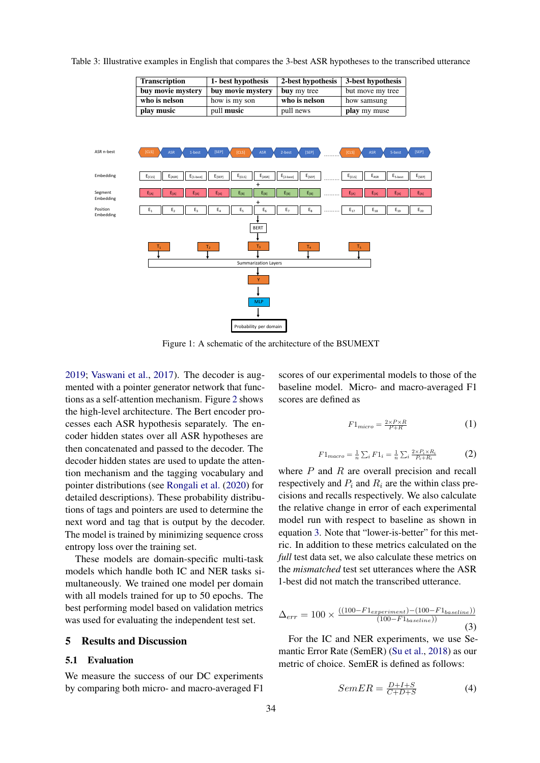<span id="page-4-2"></span>

<span id="page-4-1"></span>Table 3: Illustrative examples in English that compares the 3-best ASR hypotheses to the transcribed utterance

Transcription 1- best hypothesis 2-best hypothesis 3-best hypothesis buy movie mystery  $\vert$  buy movie mystery  $\vert$  buy my tree  $\vert$  but move my tree

Figure 1: A schematic of the architecture of the BSUMEXT

[2019;](#page-7-0) [Vaswani et al.,](#page-9-2) [2017\)](#page-9-2). The decoder is augmented with a pointer generator network that functions as a self-attention mechanism. Figure [2](#page-5-0) shows the high-level architecture. The Bert encoder processes each ASR hypothesis separately. The encoder hidden states over all ASR hypotheses are then concatenated and passed to the decoder. The decoder hidden states are used to update the attention mechanism and the tagging vocabulary and pointer distributions (see [Rongali et al.](#page-8-5) [\(2020\)](#page-8-5) for detailed descriptions). These probability distributions of tags and pointers are used to determine the next word and tag that is output by the decoder. The model is trained by minimizing sequence cross entropy loss over the training set.

These models are domain-specific multi-task models which handle both IC and NER tasks simultaneously. We trained one model per domain with all models trained for up to 50 epochs. The best performing model based on validation metrics was used for evaluating the independent test set.

## <span id="page-4-0"></span>5 Results and Discussion

### 5.1 Evaluation

We measure the success of our DC experiments by comparing both micro- and macro-averaged F1

scores of our experimental models to those of the baseline model. Micro- and macro-averaged F1 scores are defined as

$$
F1_{micro} = \frac{2 \times P \times R}{P + R} \tag{1}
$$

$$
F1_{macro} = \frac{1}{n} \sum_{i} F1_{i} = \frac{1}{n} \sum_{i} \frac{2 \times P_{i} \times R_{i}}{P_{i} + R_{i}} \tag{2}
$$

where  $P$  and  $R$  are overall precision and recall respectively and  $P_i$  and  $R_i$  are the within class precisions and recalls respectively. We also calculate the relative change in error of each experimental model run with respect to baseline as shown in equation [3.](#page-4-3) Note that "lower-is-better" for this metric. In addition to these metrics calculated on the *full* test data set, we also calculate these metrics on the *mismatched* test set utterances where the ASR 1-best did not match the transcribed utterance.

<span id="page-4-3"></span>
$$
\Delta_{err} = 100 \times \frac{((100 - F1_{experiment}) - (100 - F1_{baseline}))}{(100 - F1_{baseline})}
$$
\n(3)

For the IC and NER experiments, we use Semantic Error Rate (SemER) [\(Su et al.,](#page-8-17) [2018\)](#page-8-17) as our metric of choice. SemER is defined as follows:

$$
SemER = \frac{D+I+S}{C+D+S} \tag{4}
$$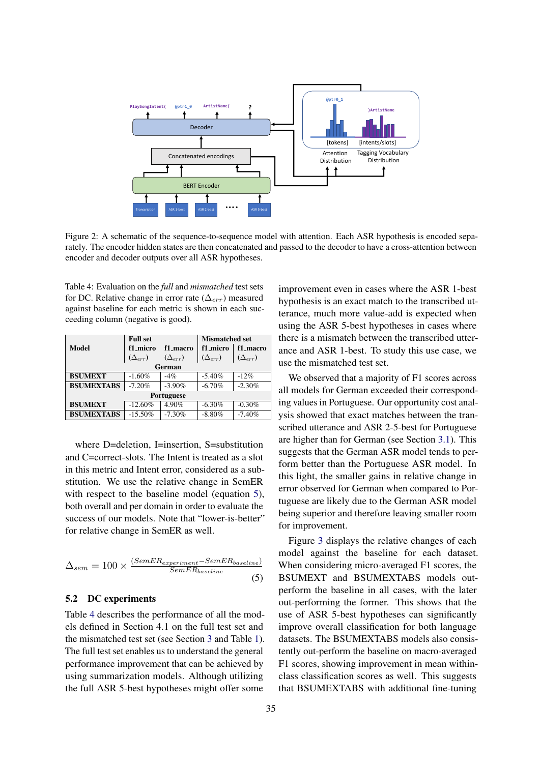<span id="page-5-0"></span>

Figure 2: A schematic of the sequence-to-sequence model with attention. Each ASR hypothesis is encoded separately. The encoder hidden states are then concatenated and passed to the decoder to have a cross-attention between encoder and decoder outputs over all ASR hypotheses.

<span id="page-5-2"></span>Table 4: Evaluation on the *full* and *mismatched* test sets for DC. Relative change in error rate ( $\Delta_{err}$ ) measured against baseline for each metric is shown in each succeeding column (negative is good).

|                   | <b>Full set</b>  |                  | <b>Mismatched set</b> |                  |
|-------------------|------------------|------------------|-----------------------|------------------|
| Model             | f1 micro         | f1_macro         | f1 micro              | f1_macro         |
|                   | $(\Delta_{err})$ | $(\Delta_{err})$ | $(\Delta_{err})$      | $(\Delta_{err})$ |
| German            |                  |                  |                       |                  |
| <b>BSUMEXT</b>    | $-1.60%$         | $-4%$            | $-5.40%$              | $-12%$           |
| <b>BSUMEXTABS</b> | $-7.20%$         | $-3.90\%$        | $-6.70%$              | $-2.30%$         |
| <b>Portuguese</b> |                  |                  |                       |                  |
| <b>BSUMEXT</b>    | $-12.60%$        | 4.90%            | $-6.30%$              | $-0.30%$         |
| <b>BSUMEXTABS</b> | $-15.50%$        | $-7.30%$         | $-8.80%$              | $-7.40%$         |

where D=deletion, I=insertion, S=substitution and C=correct-slots. The Intent is treated as a slot in this metric and Intent error, considered as a substitution. We use the relative change in SemER with respect to the baseline model (equation [5\)](#page-5-1), both overall and per domain in order to evaluate the success of our models. Note that "lower-is-better" for relative change in SemER as well.

<span id="page-5-1"></span>
$$
\Delta_{sem} = 100 \times \frac{(SemER_{experiment} - SemER_{baseline})}{SemER_{baseline}} \tag{5}
$$

## 5.2 DC experiments

Table [4](#page-5-2) describes the performance of all the models defined in Section 4.1 on the full test set and the mismatched test set (see Section [3](#page-2-0) and Table [1\)](#page-3-0). The full test set enables us to understand the general performance improvement that can be achieved by using summarization models. Although utilizing the full ASR 5-best hypotheses might offer some

improvement even in cases where the ASR 1-best hypothesis is an exact match to the transcribed utterance, much more value-add is expected when using the ASR 5-best hypotheses in cases where there is a mismatch between the transcribed utterance and ASR 1-best. To study this use case, we use the mismatched test set.

We observed that a majority of F1 scores across all models for German exceeded their corresponding values in Portuguese. Our opportunity cost analysis showed that exact matches between the transcribed utterance and ASR 2-5-best for Portuguese are higher than for German (see Section [3.1\)](#page-2-2). This suggests that the German ASR model tends to perform better than the Portuguese ASR model. In this light, the smaller gains in relative change in error observed for German when compared to Portuguese are likely due to the German ASR model being superior and therefore leaving smaller room for improvement.

Figure [3](#page-7-3) displays the relative changes of each model against the baseline for each dataset. When considering micro-averaged F1 scores, the BSUMEXT and BSUMEXTABS models outperform the baseline in all cases, with the later out-performing the former. This shows that the use of ASR 5-best hypotheses can significantly improve overall classification for both language datasets. The BSUMEXTABS models also consistently out-perform the baseline on macro-averaged F1 scores, showing improvement in mean withinclass classification scores as well. This suggests that BSUMEXTABS with additional fine-tuning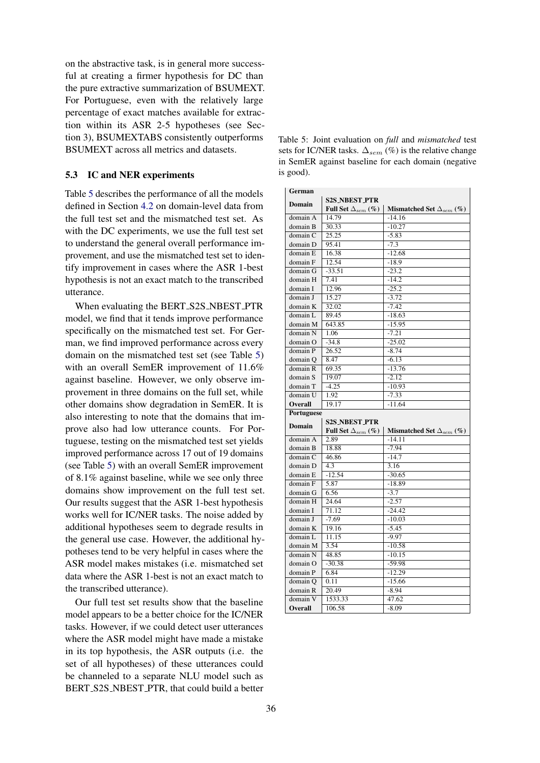on the abstractive task, is in general more successful at creating a firmer hypothesis for DC than the pure extractive summarization of BSUMEXT. For Portuguese, even with the relatively large percentage of exact matches available for extraction within its ASR 2-5 hypotheses (see Section 3), BSUMEXTABS consistently outperforms BSUMEXT across all metrics and datasets.

## 5.3 IC and NER experiments

Table [5](#page-6-0) describes the performance of all the models defined in Section [4.2](#page-3-2) on domain-level data from the full test set and the mismatched test set. As with the DC experiments, we use the full test set to understand the general overall performance improvement, and use the mismatched test set to identify improvement in cases where the ASR 1-best hypothesis is not an exact match to the transcribed utterance.

When evaluating the BERT\_S2S\_NBEST\_PTR model, we find that it tends improve performance specifically on the mismatched test set. For German, we find improved performance across every domain on the mismatched test set (see Table [5\)](#page-6-0) with an overall SemER improvement of 11.6% against baseline. However, we only observe improvement in three domains on the full set, while other domains show degradation in SemER. It is also interesting to note that the domains that improve also had low utterance counts. For Portuguese, testing on the mismatched test set yields improved performance across 17 out of 19 domains (see Table [5\)](#page-6-0) with an overall SemER improvement of 8.1% against baseline, while we see only three domains show improvement on the full test set. Our results suggest that the ASR 1-best hypothesis works well for IC/NER tasks. The noise added by additional hypotheses seem to degrade results in the general use case. However, the additional hypotheses tend to be very helpful in cases where the ASR model makes mistakes (i.e. mismatched set data where the ASR 1-best is not an exact match to the transcribed utterance).

Our full test set results show that the baseline model appears to be a better choice for the IC/NER tasks. However, if we could detect user utterances where the ASR model might have made a mistake in its top hypothesis, the ASR outputs (i.e. the set of all hypotheses) of these utterances could be channeled to a separate NLU model such as BERT S2S NBEST PTR, that could build a better

<span id="page-6-0"></span>Table 5: Joint evaluation on *full* and *mismatched* test sets for IC/NER tasks.  $\Delta_{sem}$  (%) is the relative change in SemER against baseline for each domain (negative is good).

| German        |                             |                                      |  |  |
|---------------|-----------------------------|--------------------------------------|--|--|
|               | <b>S2S_NBEST_PTR</b>        |                                      |  |  |
| <b>Domain</b> | Full Set $\Delta_{sem}$ (%) | Mismatched Set $\Delta_{sem}$ (%)    |  |  |
| domain A      | 14.79                       | $-14.16$                             |  |  |
| domain B      | 30.33                       | $-10.27$                             |  |  |
| domain C      | 25.25                       | $-5.83$                              |  |  |
| domain D      | 95.41                       | $-7.3$                               |  |  |
| domain E      | 16.38                       | $-12.68$                             |  |  |
| domain F      | 12.54                       | $-18.9$                              |  |  |
| domain G      | $-33.51$                    | $-23.2$                              |  |  |
| domain H      | 7.41                        | $-14.2$                              |  |  |
| domain I      | 12.96                       | $-25.2$                              |  |  |
| domain J      | 15.27                       | $-3.72$                              |  |  |
| domain K      | 32.02                       | $-7.42$                              |  |  |
| domain L      | 89.45                       | $-18.63$                             |  |  |
| domain M      | 643.85                      | $-15.95$                             |  |  |
| domain N      | 1.06                        | $-7.21$                              |  |  |
| domain O      | $-34.8$                     | $-25.02$                             |  |  |
| domain P      | 26.52                       | $-8.74$                              |  |  |
| domain Q      | 8.47                        | $-6.13$                              |  |  |
| domain R      | 69.35                       | $-13.76$                             |  |  |
| domain S      | 19.07                       | $-2.12$                              |  |  |
| domain T      | $-4.25$                     | $-10.93$                             |  |  |
| domain U      | 1.92                        | $-7.33$                              |  |  |
| Overall       | 19.17                       | $-11.64$                             |  |  |
| Portuguese    |                             |                                      |  |  |
|               | <b>S2S_NBEST_PTR</b>        |                                      |  |  |
| <b>Domain</b> | Full Set $\Delta_{sem}$ (%) | Mismatched Set $\Delta_{sem}$ $(\%)$ |  |  |
| domain A      | 2.89                        | $-14.11$                             |  |  |
| domain B      | 18.88                       | $-7.94$                              |  |  |
| domain C      | 46.86                       | $-14.7$                              |  |  |
| domain D      | 4.3                         | 3.16                                 |  |  |
| domain E      | $-12.54$                    | $-30.65$                             |  |  |
| domain F      | 5.87                        | $-18.89$                             |  |  |
| domain G      | 6.56                        | $-3.7$                               |  |  |
| domain H      | 24.64                       | $-2.57$                              |  |  |
| domain I      | 71.12                       | $-24.42$                             |  |  |
| domain J      | $-7.69$                     | $-10.03$                             |  |  |
| domain K      | 19.16                       | $-5.45$                              |  |  |
| domain L      | 11.15                       | $-9.97$                              |  |  |
| domain M      | 3.54                        | $-10.58$                             |  |  |
| domain N      | 48.85                       | $-10.15$                             |  |  |
| domain O      | $-30.38$                    | $-59.98$                             |  |  |
| domain P      | 6.84                        | $-12.29$                             |  |  |
| domain Q      | 0.11                        | $-15.66$                             |  |  |
| domain R      | 20.49                       | $-8.94$                              |  |  |
| domain V      | 1533.33                     | 47.62                                |  |  |
| Overall       | 106.58                      | $-8.09$                              |  |  |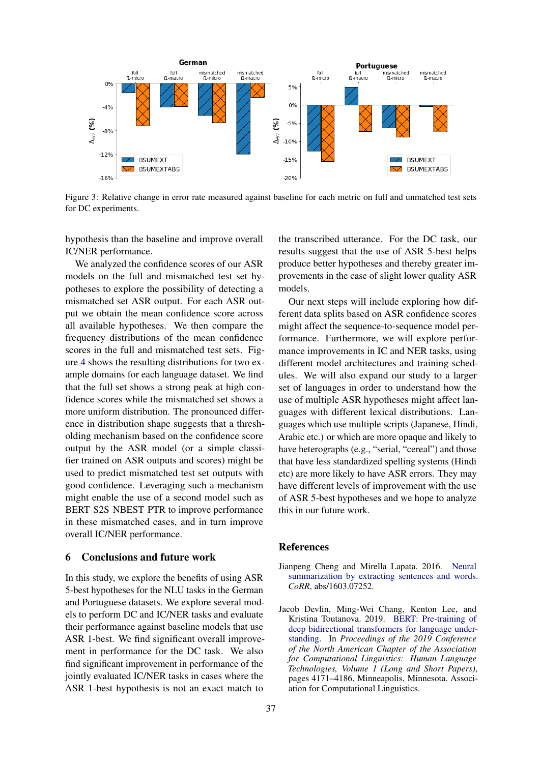<span id="page-7-3"></span>

Figure 3: Relative change in error rate measured against baseline for each metric on full and unmatched test sets for DC experiments.

hypothesis than the baseline and improve overall IC/NER performance.

We analyzed the confidence scores of our ASR models on the full and mismatched test set hypotheses to explore the possibility of detecting a mismatched set ASR output. For each ASR output we obtain the mean confidence score across all available hypotheses. We then compare the frequency distributions of the mean confidence scores in the full and mismatched test sets. Figure [4](#page-8-18) shows the resulting distributions for two example domains for each language dataset. We find that the full set shows a strong peak at high confidence scores while the mismatched set shows a more uniform distribution. The pronounced difference in distribution shape suggests that a thresholding mechanism based on the confidence score output by the ASR model (or a simple classifier trained on ASR outputs and scores) might be used to predict mismatched test set outputs with good confidence. Leveraging such a mechanism might enable the use of a second model such as BERT S2S NBEST PTR to improve performance in these mismatched cases, and in turn improve overall IC/NER performance.

### <span id="page-7-1"></span>6 Conclusions and future work

In this study, we explore the benefits of using ASR 5-best hypotheses for the NLU tasks in the German and Portuguese datasets. We explore several models to perform DC and IC/NER tasks and evaluate their performance against baseline models that use ASR 1-best. We find significant overall improvement in performance for the DC task. We also find significant improvement in performance of the jointly evaluated IC/NER tasks in cases where the ASR 1-best hypothesis is not an exact match to

the transcribed utterance. For the DC task, our results suggest that the use of ASR 5-best helps produce better hypotheses and thereby greater improvements in the case of slight lower quality ASR models.

Our next steps will include exploring how different data splits based on ASR confidence scores might affect the sequence-to-sequence model performance. Furthermore, we will explore performance improvements in IC and NER tasks, using different model architectures and training schedules. We will also expand our study to a larger set of languages in order to understand how the use of multiple ASR hypotheses might affect languages with different lexical distributions. Languages which use multiple scripts (Japanese, Hindi, Arabic etc.) or which are more opaque and likely to have heterographs (e.g., "serial, "cereal") and those that have less standardized spelling systems (Hindi etc) are more likely to have ASR errors. They may have different levels of improvement with the use of ASR 5-best hypotheses and we hope to analyze this in our future work.

#### **References**

- <span id="page-7-2"></span>Jianpeng Cheng and Mirella Lapata. 2016. [Neural](http://arxiv.org/abs/1603.07252) [summarization by extracting sentences and words.](http://arxiv.org/abs/1603.07252) *CoRR*, abs/1603.07252.
- <span id="page-7-0"></span>Jacob Devlin, Ming-Wei Chang, Kenton Lee, and Kristina Toutanova. 2019. [BERT: Pre-training of](https://doi.org/10.18653/v1/N19-1423) [deep bidirectional transformers for language under](https://doi.org/10.18653/v1/N19-1423)[standing.](https://doi.org/10.18653/v1/N19-1423) In *Proceedings of the 2019 Conference of the North American Chapter of the Association for Computational Linguistics: Human Language Technologies, Volume 1 (Long and Short Papers)*, pages 4171–4186, Minneapolis, Minnesota. Association for Computational Linguistics.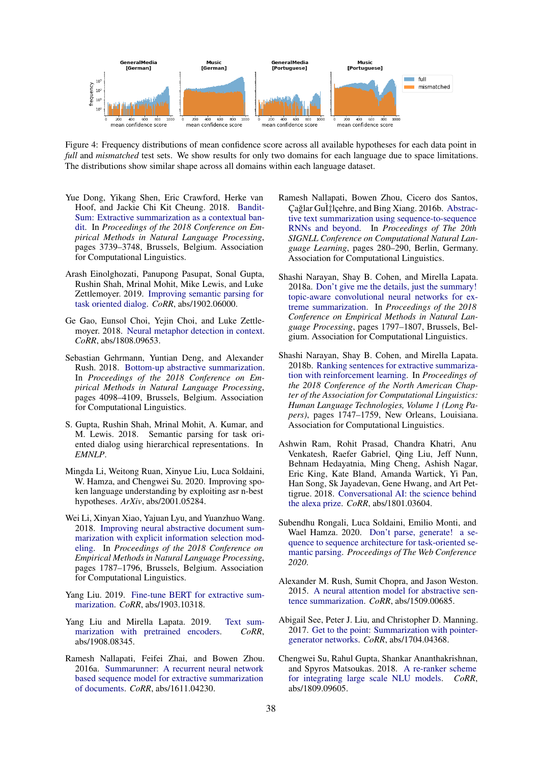<span id="page-8-18"></span>

Figure 4: Frequency distributions of mean confidence score across all available hypotheses for each data point in *full* and *mismatched* test sets. We show results for only two domains for each language due to space limitations. The distributions show similar shape across all domains within each language dataset.

- <span id="page-8-8"></span>Yue Dong, Yikang Shen, Eric Crawford, Herke van Hoof, and Jackie Chi Kit Cheung. 2018. [Bandit-](https://doi.org/10.18653/v1/D18-1409)[Sum: Extractive summarization as a contextual ban](https://doi.org/10.18653/v1/D18-1409)[dit.](https://doi.org/10.18653/v1/D18-1409) In *Proceedings of the 2018 Conference on Empirical Methods in Natural Language Processing*, pages 3739–3748, Brussels, Belgium. Association for Computational Linguistics.
- <span id="page-8-16"></span>Arash Einolghozati, Panupong Pasupat, Sonal Gupta, Rushin Shah, Mrinal Mohit, Mike Lewis, and Luke Zettlemoyer. 2019. [Improving semantic parsing for](http://arxiv.org/abs/1902.06000) [task oriented dialog.](http://arxiv.org/abs/1902.06000) *CoRR*, abs/1902.06000.
- <span id="page-8-1"></span>Ge Gao, Eunsol Choi, Yejin Choi, and Luke Zettlemoyer. 2018. [Neural metaphor detection in context.](http://arxiv.org/abs/1808.09653) *CoRR*, abs/1808.09653.
- <span id="page-8-13"></span>Sebastian Gehrmann, Yuntian Deng, and Alexander Rush. 2018. [Bottom-up abstractive summarization.](https://doi.org/10.18653/v1/D18-1443) In *Proceedings of the 2018 Conference on Empirical Methods in Natural Language Processing*, pages 4098–4109, Brussels, Belgium. Association for Computational Linguistics.
- <span id="page-8-15"></span>S. Gupta, Rushin Shah, Mrinal Mohit, A. Kumar, and M. Lewis. 2018. Semantic parsing for task oriented dialog using hierarchical representations. In *EMNLP*.
- <span id="page-8-2"></span>Mingda Li, Weitong Ruan, Xinyue Liu, Luca Soldaini, W. Hamza, and Chengwei Su. 2020. Improving spoken language understanding by exploiting asr n-best hypotheses. *ArXiv*, abs/2001.05284.
- <span id="page-8-14"></span>Wei Li, Xinyan Xiao, Yajuan Lyu, and Yuanzhuo Wang. 2018. [Improving neural abstractive document sum](https://doi.org/10.18653/v1/D18-1205)[marization with explicit information selection mod](https://doi.org/10.18653/v1/D18-1205)[eling.](https://doi.org/10.18653/v1/D18-1205) In *Proceedings of the 2018 Conference on Empirical Methods in Natural Language Processing*, pages 1787–1796, Brussels, Belgium. Association for Computational Linguistics.
- <span id="page-8-3"></span>Yang Liu. 2019. [Fine-tune BERT for extractive sum](http://arxiv.org/abs/1903.10318)[marization.](http://arxiv.org/abs/1903.10318) *CoRR*, abs/1903.10318.
- <span id="page-8-4"></span>Yang Liu and Mirella Lapata. 2019. [Text sum](http://arxiv.org/abs/1908.08345)[marization with pretrained encoders.](http://arxiv.org/abs/1908.08345) *CoRR*, abs/1908.08345.
- <span id="page-8-6"></span>Ramesh Nallapati, Feifei Zhai, and Bowen Zhou. 2016a. [Summarunner: A recurrent neural network](http://arxiv.org/abs/1611.04230) [based sequence model for extractive summarization](http://arxiv.org/abs/1611.04230) [of documents.](http://arxiv.org/abs/1611.04230) *CoRR*, abs/1611.04230.
- <span id="page-8-12"></span>Ramesh Nallapati, Bowen Zhou, Cicero dos Santos, Çağlar Gul‡lçehre, and Bing Xiang. 2016b. [Abstrac](https://doi.org/10.18653/v1/K16-1028)[tive text summarization using sequence-to-sequence](https://doi.org/10.18653/v1/K16-1028) [RNNs and beyond.](https://doi.org/10.18653/v1/K16-1028) In *Proceedings of The 20th SIGNLL Conference on Computational Natural Language Learning*, pages 280–290, Berlin, Germany. Association for Computational Linguistics.
- <span id="page-8-9"></span>Shashi Narayan, Shay B. Cohen, and Mirella Lapata. 2018a. [Don't give me the details, just the summary!](https://doi.org/10.18653/v1/D18-1206) [topic-aware convolutional neural networks for ex](https://doi.org/10.18653/v1/D18-1206)[treme summarization.](https://doi.org/10.18653/v1/D18-1206) In *Proceedings of the 2018 Conference on Empirical Methods in Natural Language Processing*, pages 1797–1807, Brussels, Belgium. Association for Computational Linguistics.
- <span id="page-8-7"></span>Shashi Narayan, Shay B. Cohen, and Mirella Lapata. 2018b. [Ranking sentences for extractive summariza](https://doi.org/10.18653/v1/N18-1158)[tion with reinforcement learning.](https://doi.org/10.18653/v1/N18-1158) In *Proceedings of the 2018 Conference of the North American Chapter of the Association for Computational Linguistics: Human Language Technologies, Volume 1 (Long Papers)*, pages 1747–1759, New Orleans, Louisiana. Association for Computational Linguistics.
- <span id="page-8-0"></span>Ashwin Ram, Rohit Prasad, Chandra Khatri, Anu Venkatesh, Raefer Gabriel, Qing Liu, Jeff Nunn, Behnam Hedayatnia, Ming Cheng, Ashish Nagar, Eric King, Kate Bland, Amanda Wartick, Yi Pan, Han Song, Sk Jayadevan, Gene Hwang, and Art Pettigrue. 2018. [Conversational AI: the science behind](http://arxiv.org/abs/1801.03604) [the alexa prize.](http://arxiv.org/abs/1801.03604) *CoRR*, abs/1801.03604.
- <span id="page-8-5"></span>Subendhu Rongali, Luca Soldaini, Emilio Monti, and Wael Hamza. 2020. [Don't parse, generate! a se](https://doi.org/10.1145/3366423.3380064)[quence to sequence architecture for task-oriented se](https://doi.org/10.1145/3366423.3380064)[mantic parsing.](https://doi.org/10.1145/3366423.3380064) *Proceedings of The Web Conference 2020*.
- <span id="page-8-11"></span>Alexander M. Rush, Sumit Chopra, and Jason Weston. 2015. [A neural attention model for abstractive sen](http://arxiv.org/abs/1509.00685)[tence summarization.](http://arxiv.org/abs/1509.00685) *CoRR*, abs/1509.00685.
- <span id="page-8-10"></span>Abigail See, Peter J. Liu, and Christopher D. Manning. 2017. [Get to the point: Summarization with pointer](http://arxiv.org/abs/1704.04368)[generator networks.](http://arxiv.org/abs/1704.04368) *CoRR*, abs/1704.04368.
- <span id="page-8-17"></span>Chengwei Su, Rahul Gupta, Shankar Ananthakrishnan, and Spyros Matsoukas. 2018. [A re-ranker scheme](http://arxiv.org/abs/1809.09605) [for integrating large scale NLU models.](http://arxiv.org/abs/1809.09605) *CoRR*, abs/1809.09605.